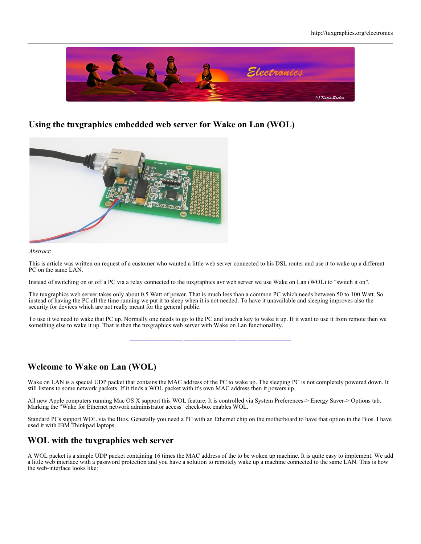

## **Using the tuxgraphics embedded web server for Wake on Lan (WOL)**



### *Abstract*:

This is article was written on request of a customer who wanted a little web server connected to his DSL router and use it to wake up a different PC on the same LAN.

Instead of switching on or off a PC via a relay connected to the tuxgraphics avr web server we use Wake on Lan (WOL) to "switch it on".

The tuxgraphics web server takes only about 0.5 Watt of power. That is much less than a common PC which needs between 50 to 100 Watt. So instead of having the PC all the time running we put it to sleep when it is not needed. To have it unavailable and sleeping improves also the security for devices which are not really meant for the general public.

To use it we need to wake that PC up. Normally one needs to go to the PC and touch a key to wake it up. If it want to use it from remote then we something else to wake it up. That is then the tuxgraphics web server with Wake on Lan functionallity.

## **Welcome to Wake on Lan (WOL)**

Wake on LAN is a special UDP packet that contains the MAC address of the PC to wake up. The sleeping PC is not completely powered down. It still listens to some network packets. If it finds a WOL packet with it's own MAC address then it powers up.

All new Apple computers running Mac OS X support this WOL feature. It is controlled via System Preferences-> Energy Saver-> Options tab. Marking the "Wake for Ethernet network administrator access" check-box enables WOL.

Standard PCs support WOL via the Bios. Generally you need a PC with an Ethernet chip on the motherboard to have that option in the Bios. I have used it with IBM Thinkpad laptops.

## **WOL with the tuxgraphics web server**

A WOL packet is a simple UDP packet containing 16 times the MAC address of the to be woken up machine. It is quite easy to implement. We add a little web interface with a password protection and you have a solution to remotely wake up a machine connected to the same LAN. This is how the web-interface looks like: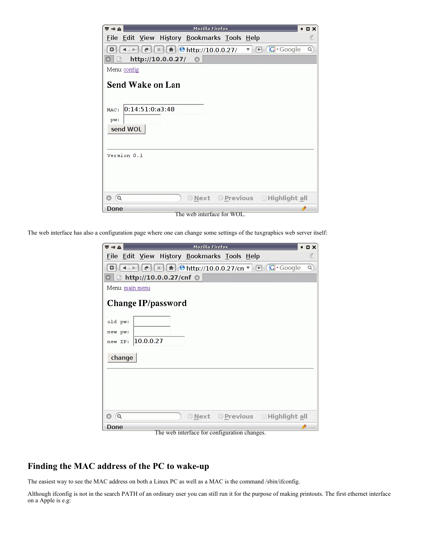| <b>Mozilla Firefox</b><br>$\overline{\nabla}$ = $\triangle$                                             |   |  |  |  |
|---------------------------------------------------------------------------------------------------------|---|--|--|--|
| History Bookmarks Tools Help<br>File Edit View                                                          | 芝 |  |  |  |
| $\triangledown$ $\Box$ $\Box$ Google<br>$\epsilon$ $\mathbb{R}$ $\mathbb{R}$ $\Theta$ http://10.0.0.27/ | Q |  |  |  |
| http://10.0.0.27/<br>o                                                                                  |   |  |  |  |
| Menu: config                                                                                            |   |  |  |  |
| Send Wake on Lan                                                                                        |   |  |  |  |
| 0:14:51:0:a3:48<br>MAC:<br>pw:                                                                          |   |  |  |  |
| send WOL                                                                                                |   |  |  |  |
| Version 0.1                                                                                             |   |  |  |  |
|                                                                                                         |   |  |  |  |
| © Next © Previous EHighlight all<br>$\alpha$                                                            |   |  |  |  |
| Done                                                                                                    | P |  |  |  |

The web interface for WOL.

The web interface has also a configuration page where one can change some settings of the tuxgraphics web server itself:

| 5 ∉ 4           |                        | <b>Mozilla Firefox</b> |                                             | $\blacksquare$                                                                                                                               | $D \times$ |
|-----------------|------------------------|------------------------|---------------------------------------------|----------------------------------------------------------------------------------------------------------------------------------------------|------------|
|                 |                        |                        | File Edit View History Bookmarks Tools Help |                                                                                                                                              | 头          |
| o               |                        |                        |                                             | $\leftarrow$ $\left[\left(e\right)[x]\right[\mathbf{a}\right]$ <b>O</b> http://10.0.0.27/cn $\mathbf{v}$ $\mathbf{E}$ (G $\mathbf{G}$ Google | Q          |
|                 | http://10.0.0.27/cnf © |                        |                                             |                                                                                                                                              |            |
| Menu: main menu |                        |                        |                                             |                                                                                                                                              |            |
|                 | Change IP/password     |                        |                                             |                                                                                                                                              |            |
| old pw:         |                        |                        |                                             |                                                                                                                                              |            |
| new pw:         |                        |                        |                                             |                                                                                                                                              |            |
| new IP:         | 10.0.0.27              |                        |                                             |                                                                                                                                              |            |
| change          |                        |                        |                                             |                                                                                                                                              |            |
|                 |                        |                        |                                             |                                                                                                                                              |            |
|                 |                        |                        |                                             |                                                                                                                                              |            |
|                 |                        |                        |                                             |                                                                                                                                              |            |
|                 |                        |                        |                                             |                                                                                                                                              |            |
| $\alpha$        |                        |                        |                                             | © Next © Previous EHighlight all                                                                                                             |            |
| Done            |                        |                        |                                             |                                                                                                                                              |            |

The web interface for configuration changes.

# **Finding the MAC address of the PC to wake-up**

The easiest way to see the MAC address on both a Linux PC as well as a MAC is the command /sbin/ifconfig.

Although ifconfig is not in the search PATH of an ordinary user you can still run it for the purpose of making printouts. The first ethernet interface on a Apple is e.g: